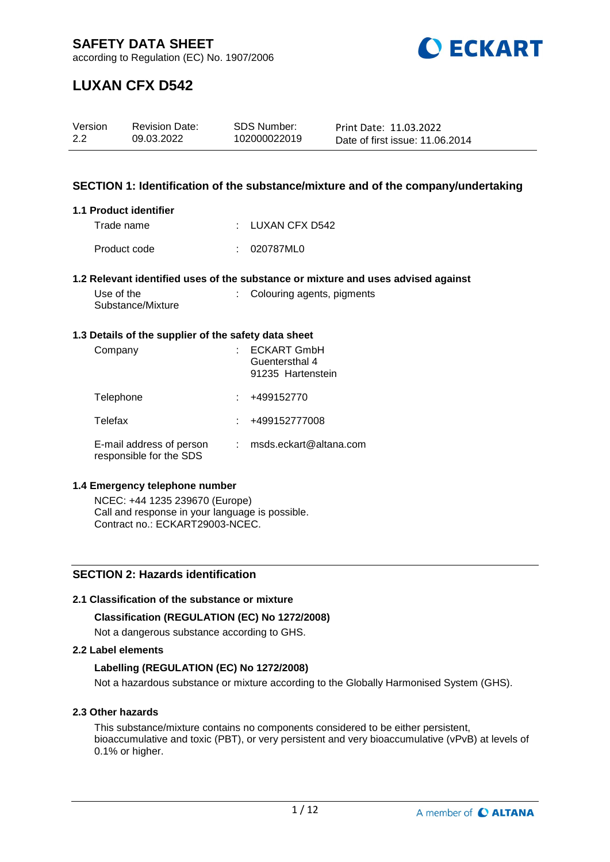

according to Regulation (EC) No. 1907/2006

# **LUXAN CFX D542**

| Version | <b>Revision Date:</b> | SDS Number:  | Print Date: 11.03.2022          |
|---------|-----------------------|--------------|---------------------------------|
| 2.2     | 09.03.2022            | 102000022019 | Date of first issue: 11.06.2014 |

## **SECTION 1: Identification of the substance/mixture and of the company/undertaking**

#### **1.1 Product identifier**

| Trade name   | : LUXAN CFX D542 |
|--------------|------------------|
| Product code | : 020787ML0      |

#### **1.2 Relevant identified uses of the substance or mixture and uses advised against**

| Use of the        | : Colouring agents, pigments |
|-------------------|------------------------------|
| Substance/Mixture |                              |

### **1.3 Details of the supplier of the safety data sheet**

| Company                                             | <b>ECKART GmbH</b><br>Guentersthal 4<br>91235 Hartenstein |
|-----------------------------------------------------|-----------------------------------------------------------|
| Telephone                                           | +499152770                                                |
| Telefax                                             | +499152777008                                             |
| E-mail address of person<br>responsible for the SDS | msds.eckart@altana.com                                    |

#### **1.4 Emergency telephone number**

NCEC: +44 1235 239670 (Europe) Call and response in your language is possible. Contract no.: ECKART29003-NCEC.

# **SECTION 2: Hazards identification**

#### **2.1 Classification of the substance or mixture**

## **Classification (REGULATION (EC) No 1272/2008)**

Not a dangerous substance according to GHS.

### **2.2 Label elements**

## **Labelling (REGULATION (EC) No 1272/2008)**

Not a hazardous substance or mixture according to the Globally Harmonised System (GHS).

## **2.3 Other hazards**

This substance/mixture contains no components considered to be either persistent, bioaccumulative and toxic (PBT), or very persistent and very bioaccumulative (vPvB) at levels of 0.1% or higher.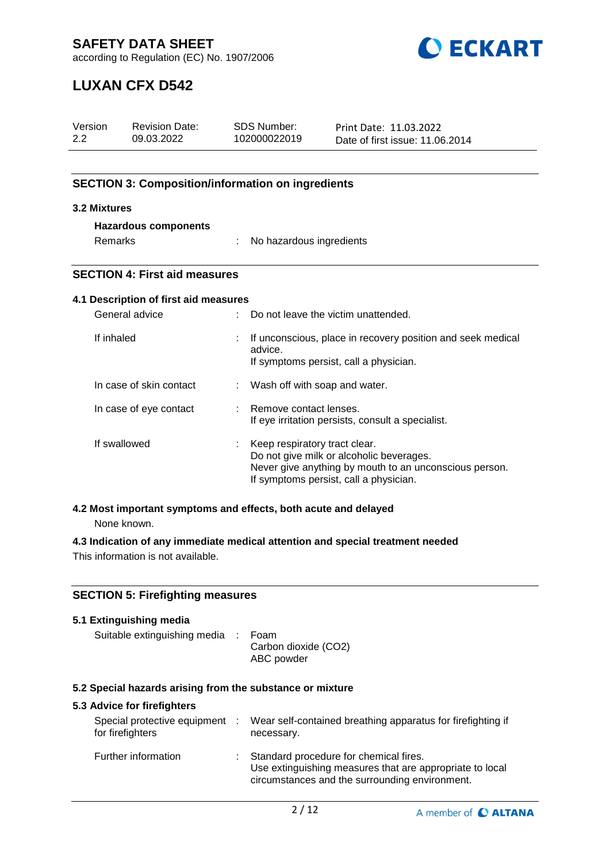

according to Regulation (EC) No. 1907/2006

# **LUXAN CFX D542**

| Version<br>2.2                                   | <b>Revision Date:</b><br>09.03.2022                                            |                                                                             | <b>SDS Number:</b><br>102000022019                                                                                                                                            | Print Date: 11.03.2022<br>Date of first issue: 11.06.2014                      |  |
|--------------------------------------------------|--------------------------------------------------------------------------------|-----------------------------------------------------------------------------|-------------------------------------------------------------------------------------------------------------------------------------------------------------------------------|--------------------------------------------------------------------------------|--|
|                                                  | <b>SECTION 3: Composition/information on ingredients</b>                       |                                                                             |                                                                                                                                                                               |                                                                                |  |
| 3.2 Mixtures                                     |                                                                                |                                                                             |                                                                                                                                                                               |                                                                                |  |
|                                                  | <b>Hazardous components</b>                                                    |                                                                             |                                                                                                                                                                               |                                                                                |  |
| Remarks                                          |                                                                                |                                                                             | No hazardous ingredients                                                                                                                                                      |                                                                                |  |
|                                                  | <b>SECTION 4: First aid measures</b>                                           |                                                                             |                                                                                                                                                                               |                                                                                |  |
|                                                  | 4.1 Description of first aid measures                                          |                                                                             |                                                                                                                                                                               |                                                                                |  |
|                                                  | General advice                                                                 |                                                                             |                                                                                                                                                                               | Do not leave the victim unattended.                                            |  |
| If inhaled                                       |                                                                                |                                                                             | If unconscious, place in recovery position and seek medical<br>advice.<br>If symptoms persist, call a physician.                                                              |                                                                                |  |
|                                                  | In case of skin contact                                                        | Wash off with soap and water.                                               |                                                                                                                                                                               |                                                                                |  |
|                                                  | In case of eye contact                                                         | Remove contact lenses.<br>If eye irritation persists, consult a specialist. |                                                                                                                                                                               |                                                                                |  |
| If swallowed                                     |                                                                                |                                                                             | Keep respiratory tract clear.<br>Do not give milk or alcoholic beverages.<br>Never give anything by mouth to an unconscious person.<br>If symptoms persist, call a physician. |                                                                                |  |
|                                                  | 4.2 Most important symptoms and effects, both acute and delayed<br>None known. |                                                                             |                                                                                                                                                                               |                                                                                |  |
|                                                  |                                                                                |                                                                             |                                                                                                                                                                               | 4.3 Indication of any immediate medical attention and special treatment needed |  |
|                                                  | This information is not available.                                             |                                                                             |                                                                                                                                                                               |                                                                                |  |
|                                                  | <b>SECTION 5: Firefighting measures</b>                                        |                                                                             |                                                                                                                                                                               |                                                                                |  |
|                                                  | 5.1 Extinguishing media                                                        |                                                                             |                                                                                                                                                                               |                                                                                |  |
| Suitable extinguishing media                     |                                                                                |                                                                             | Foam<br>Carbon dioxide (CO2)<br>ABC powder                                                                                                                                    |                                                                                |  |
|                                                  | 5.2 Special hazards arising from the substance or mixture                      |                                                                             |                                                                                                                                                                               |                                                                                |  |
|                                                  | 5.3 Advice for firefighters                                                    |                                                                             |                                                                                                                                                                               |                                                                                |  |
| Special protective equipment<br>for firefighters |                                                                                |                                                                             | Wear self-contained breathing apparatus for firefighting if<br>necessary.                                                                                                     |                                                                                |  |

| Further information | Standard procedure for chemical fires.<br>Use extinguishing measures that are appropriate to local |
|---------------------|----------------------------------------------------------------------------------------------------|
|                     | circumstances and the surrounding environment.                                                     |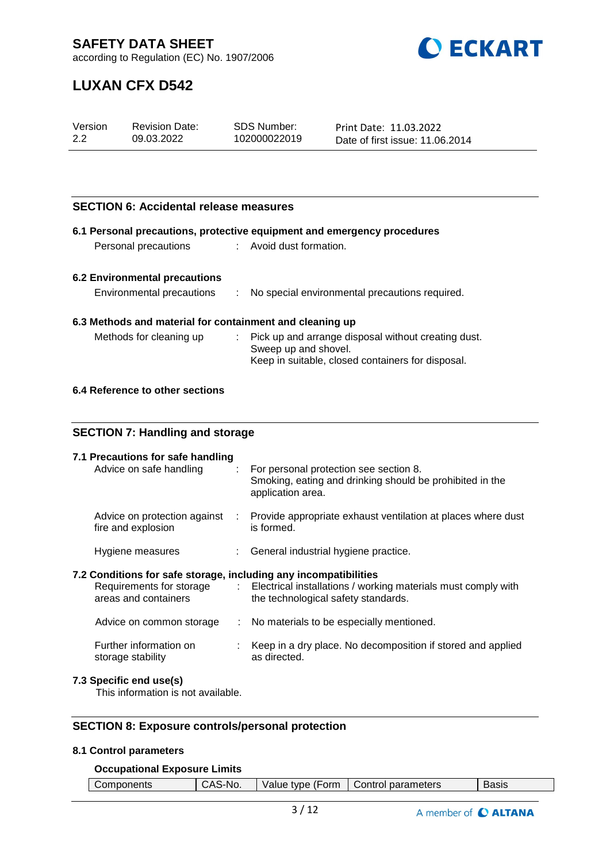

according to Regulation (EC) No. 1907/2006

# **LUXAN CFX D542**

| Version | <b>Revision Date:</b> | SDS Number:  | Print Date: 11.03.2022          |
|---------|-----------------------|--------------|---------------------------------|
| 2.2     | 09.03.2022            | 102000022019 | Date of first issue: 11.06.2014 |

# **SECTION 6: Accidental release measures**

| 6.1 Personal precautions, protective equipment and emergency procedures |     |                                                                                                                         |  |  |
|-------------------------------------------------------------------------|-----|-------------------------------------------------------------------------------------------------------------------------|--|--|
| Avoid dust formation.<br>Personal precautions                           |     |                                                                                                                         |  |  |
|                                                                         |     |                                                                                                                         |  |  |
| <b>6.2 Environmental precautions</b>                                    |     |                                                                                                                         |  |  |
| Environmental precautions                                               | ÷.  | No special environmental precautions required.                                                                          |  |  |
| 6.3 Methods and material for containment and cleaning up                |     |                                                                                                                         |  |  |
| Methods for cleaning up                                                 |     | Pick up and arrange disposal without creating dust.                                                                     |  |  |
|                                                                         |     | Sweep up and shovel.<br>Keep in suitable, closed containers for disposal.                                               |  |  |
|                                                                         |     |                                                                                                                         |  |  |
| 6.4 Reference to other sections                                         |     |                                                                                                                         |  |  |
|                                                                         |     |                                                                                                                         |  |  |
| <b>SECTION 7: Handling and storage</b>                                  |     |                                                                                                                         |  |  |
| 7.1 Precautions for safe handling                                       |     |                                                                                                                         |  |  |
| Advice on safe handling                                                 | ÷.  | For personal protection see section 8.<br>Smoking, eating and drinking should be prohibited in the<br>application area. |  |  |
| Advice on protection against<br>fire and explosion                      |     | Provide appropriate exhaust ventilation at places where dust<br>is formed.                                              |  |  |
| Hygiene measures                                                        |     | General industrial hygiene practice.                                                                                    |  |  |
| 7.2 Conditions for safe storage, including any incompatibilities        |     |                                                                                                                         |  |  |
| Requirements for storage<br>areas and containers                        | t.  | Electrical installations / working materials must comply with<br>the technological safety standards.                    |  |  |
| Advice on common storage                                                | ÷.  | No materials to be especially mentioned.                                                                                |  |  |
| Further information on<br>storage stability                             | t i | Keep in a dry place. No decomposition if stored and applied<br>as directed.                                             |  |  |
| 7.3 Specific end use(s)                                                 |     |                                                                                                                         |  |  |

This information is not available.

# **SECTION 8: Exposure controls/personal protection**

#### **8.1 Control parameters**

#### **Occupational Exposure Limits**

| $\mathbf{v}$<br>∙orm<br>omnon<br>.<br>----<br>No.<br>tvbe<br>alue<br>™ients<br>$\overline{\phantom{0}}$ | parameters<br>-----<br>$\mathbf{H}$ | יים ב<br>הוכוס |
|---------------------------------------------------------------------------------------------------------|-------------------------------------|----------------|
|---------------------------------------------------------------------------------------------------------|-------------------------------------|----------------|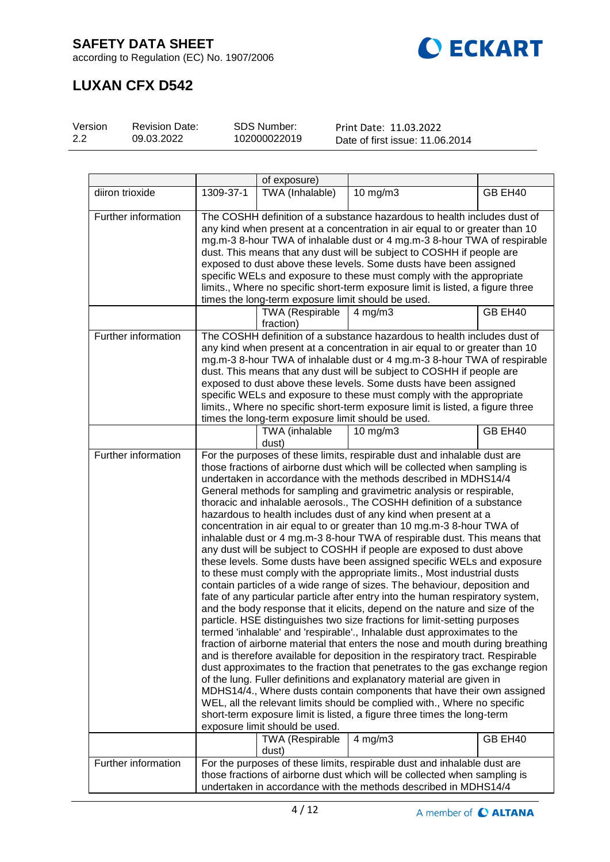



# **LUXAN CFX D542**

| Version | <b>Revision Date:</b> | SDS Number:  | Print Date: 11.03.2022          |
|---------|-----------------------|--------------|---------------------------------|
| 2.2     | 09.03.2022            | 102000022019 | Date of first issue: 11.06.2014 |

|                     |                                                                                                                                                                                                                                                                                                                                                                                                                                                                                                                                                                                                   | of exposure)                                       |                                                                                                                                                                                                                                                                                                                                                                                                                                                                                                                                                                                                                                                                                                                                                                                                                                                                                                                                                                                                                                                                                                                                                                                                                                                                                                                                                                                                                                                                                                                                                                                                                                                                                                                                                                                                       |         |
|---------------------|---------------------------------------------------------------------------------------------------------------------------------------------------------------------------------------------------------------------------------------------------------------------------------------------------------------------------------------------------------------------------------------------------------------------------------------------------------------------------------------------------------------------------------------------------------------------------------------------------|----------------------------------------------------|-------------------------------------------------------------------------------------------------------------------------------------------------------------------------------------------------------------------------------------------------------------------------------------------------------------------------------------------------------------------------------------------------------------------------------------------------------------------------------------------------------------------------------------------------------------------------------------------------------------------------------------------------------------------------------------------------------------------------------------------------------------------------------------------------------------------------------------------------------------------------------------------------------------------------------------------------------------------------------------------------------------------------------------------------------------------------------------------------------------------------------------------------------------------------------------------------------------------------------------------------------------------------------------------------------------------------------------------------------------------------------------------------------------------------------------------------------------------------------------------------------------------------------------------------------------------------------------------------------------------------------------------------------------------------------------------------------------------------------------------------------------------------------------------------------|---------|
| diiron trioxide     | 1309-37-1                                                                                                                                                                                                                                                                                                                                                                                                                                                                                                                                                                                         | TWA (Inhalable)                                    | $10$ mg/m $3$                                                                                                                                                                                                                                                                                                                                                                                                                                                                                                                                                                                                                                                                                                                                                                                                                                                                                                                                                                                                                                                                                                                                                                                                                                                                                                                                                                                                                                                                                                                                                                                                                                                                                                                                                                                         | GB EH40 |
| Further information | The COSHH definition of a substance hazardous to health includes dust of<br>any kind when present at a concentration in air equal to or greater than 10<br>mg.m-3 8-hour TWA of inhalable dust or 4 mg.m-3 8-hour TWA of respirable<br>dust. This means that any dust will be subject to COSHH if people are<br>exposed to dust above these levels. Some dusts have been assigned<br>specific WELs and exposure to these must comply with the appropriate<br>limits., Where no specific short-term exposure limit is listed, a figure three<br>times the long-term exposure limit should be used. |                                                    |                                                                                                                                                                                                                                                                                                                                                                                                                                                                                                                                                                                                                                                                                                                                                                                                                                                                                                                                                                                                                                                                                                                                                                                                                                                                                                                                                                                                                                                                                                                                                                                                                                                                                                                                                                                                       |         |
|                     |                                                                                                                                                                                                                                                                                                                                                                                                                                                                                                                                                                                                   | <b>TWA</b> (Respirable<br>fraction)                | 4 mg/m $3$                                                                                                                                                                                                                                                                                                                                                                                                                                                                                                                                                                                                                                                                                                                                                                                                                                                                                                                                                                                                                                                                                                                                                                                                                                                                                                                                                                                                                                                                                                                                                                                                                                                                                                                                                                                            | GB EH40 |
| Further information |                                                                                                                                                                                                                                                                                                                                                                                                                                                                                                                                                                                                   | times the long-term exposure limit should be used. | The COSHH definition of a substance hazardous to health includes dust of<br>any kind when present at a concentration in air equal to or greater than 10<br>mg.m-3 8-hour TWA of inhalable dust or 4 mg.m-3 8-hour TWA of respirable<br>dust. This means that any dust will be subject to COSHH if people are<br>exposed to dust above these levels. Some dusts have been assigned<br>specific WELs and exposure to these must comply with the appropriate<br>limits., Where no specific short-term exposure limit is listed, a figure three                                                                                                                                                                                                                                                                                                                                                                                                                                                                                                                                                                                                                                                                                                                                                                                                                                                                                                                                                                                                                                                                                                                                                                                                                                                           |         |
|                     |                                                                                                                                                                                                                                                                                                                                                                                                                                                                                                                                                                                                   | TWA (inhalable<br>dust)                            | $10$ mg/m $3$                                                                                                                                                                                                                                                                                                                                                                                                                                                                                                                                                                                                                                                                                                                                                                                                                                                                                                                                                                                                                                                                                                                                                                                                                                                                                                                                                                                                                                                                                                                                                                                                                                                                                                                                                                                         | GB EH40 |
| Further information |                                                                                                                                                                                                                                                                                                                                                                                                                                                                                                                                                                                                   | exposure limit should be used.                     | For the purposes of these limits, respirable dust and inhalable dust are<br>those fractions of airborne dust which will be collected when sampling is<br>undertaken in accordance with the methods described in MDHS14/4<br>General methods for sampling and gravimetric analysis or respirable,<br>thoracic and inhalable aerosols., The COSHH definition of a substance<br>hazardous to health includes dust of any kind when present at a<br>concentration in air equal to or greater than 10 mg.m-3 8-hour TWA of<br>inhalable dust or 4 mg.m-3 8-hour TWA of respirable dust. This means that<br>any dust will be subject to COSHH if people are exposed to dust above<br>these levels. Some dusts have been assigned specific WELs and exposure<br>to these must comply with the appropriate limits., Most industrial dusts<br>contain particles of a wide range of sizes. The behaviour, deposition and<br>fate of any particular particle after entry into the human respiratory system,<br>and the body response that it elicits, depend on the nature and size of the<br>particle. HSE distinguishes two size fractions for limit-setting purposes<br>termed 'inhalable' and 'respirable'., Inhalable dust approximates to the<br>fraction of airborne material that enters the nose and mouth during breathing<br>and is therefore available for deposition in the respiratory tract. Respirable<br>dust approximates to the fraction that penetrates to the gas exchange region<br>of the lung. Fuller definitions and explanatory material are given in<br>MDHS14/4., Where dusts contain components that have their own assigned<br>WEL, all the relevant limits should be complied with., Where no specific<br>short-term exposure limit is listed, a figure three times the long-term |         |
|                     |                                                                                                                                                                                                                                                                                                                                                                                                                                                                                                                                                                                                   | <b>TWA (Respirable</b><br>dust)                    | $4$ mg/m $3$                                                                                                                                                                                                                                                                                                                                                                                                                                                                                                                                                                                                                                                                                                                                                                                                                                                                                                                                                                                                                                                                                                                                                                                                                                                                                                                                                                                                                                                                                                                                                                                                                                                                                                                                                                                          | GB EH40 |
| Further information |                                                                                                                                                                                                                                                                                                                                                                                                                                                                                                                                                                                                   |                                                    | For the purposes of these limits, respirable dust and inhalable dust are<br>those fractions of airborne dust which will be collected when sampling is<br>undertaken in accordance with the methods described in MDHS14/4                                                                                                                                                                                                                                                                                                                                                                                                                                                                                                                                                                                                                                                                                                                                                                                                                                                                                                                                                                                                                                                                                                                                                                                                                                                                                                                                                                                                                                                                                                                                                                              |         |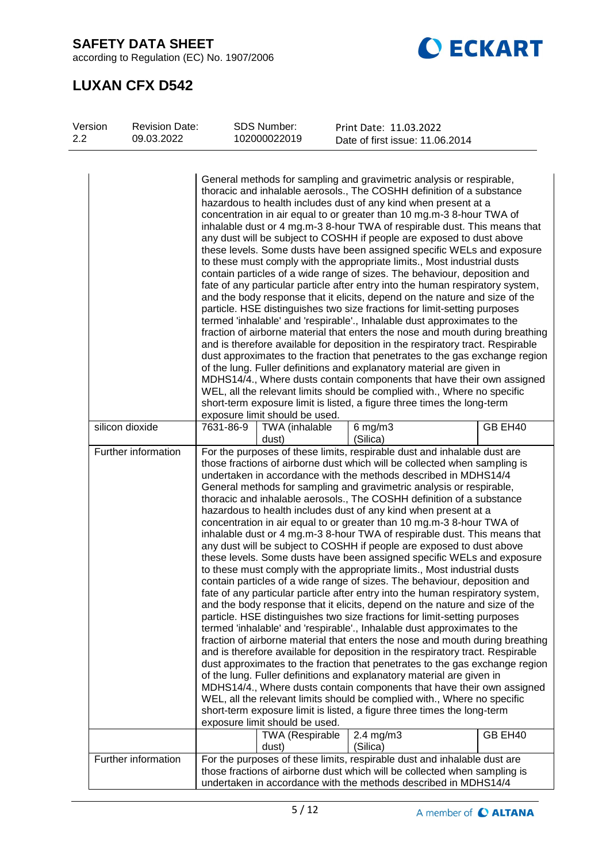according to Regulation (EC) No. 1907/2006



# **LUXAN CFX D542**

| Version<br>2.2 | <b>Revision Date:</b><br>09.03.2022 | SDS Number:<br>102000022019                              | Print Date: 11.03.2022<br>Date of first issue: 11.06.2014                                                                                                                                                                                                                                                                                                                                                                                                                                                                                                                                                                                                                                                                                                                                                                                                                                                                                                                                                                                                                                                                                                                                                                                                                                                                                                                                                                                                                                                                                                                                                                                                                                                                                                                                                                          |
|----------------|-------------------------------------|----------------------------------------------------------|------------------------------------------------------------------------------------------------------------------------------------------------------------------------------------------------------------------------------------------------------------------------------------------------------------------------------------------------------------------------------------------------------------------------------------------------------------------------------------------------------------------------------------------------------------------------------------------------------------------------------------------------------------------------------------------------------------------------------------------------------------------------------------------------------------------------------------------------------------------------------------------------------------------------------------------------------------------------------------------------------------------------------------------------------------------------------------------------------------------------------------------------------------------------------------------------------------------------------------------------------------------------------------------------------------------------------------------------------------------------------------------------------------------------------------------------------------------------------------------------------------------------------------------------------------------------------------------------------------------------------------------------------------------------------------------------------------------------------------------------------------------------------------------------------------------------------------|
|                |                                     | exposure limit should be used.                           | General methods for sampling and gravimetric analysis or respirable,<br>thoracic and inhalable aerosols., The COSHH definition of a substance<br>hazardous to health includes dust of any kind when present at a<br>concentration in air equal to or greater than 10 mg.m-3 8-hour TWA of<br>inhalable dust or 4 mg.m-3 8-hour TWA of respirable dust. This means that<br>any dust will be subject to COSHH if people are exposed to dust above<br>these levels. Some dusts have been assigned specific WELs and exposure<br>to these must comply with the appropriate limits., Most industrial dusts<br>contain particles of a wide range of sizes. The behaviour, deposition and<br>fate of any particular particle after entry into the human respiratory system,<br>and the body response that it elicits, depend on the nature and size of the<br>particle. HSE distinguishes two size fractions for limit-setting purposes<br>termed 'inhalable' and 'respirable'., Inhalable dust approximates to the<br>fraction of airborne material that enters the nose and mouth during breathing<br>and is therefore available for deposition in the respiratory tract. Respirable<br>dust approximates to the fraction that penetrates to the gas exchange region<br>of the lung. Fuller definitions and explanatory material are given in<br>MDHS14/4., Where dusts contain components that have their own assigned<br>WEL, all the relevant limits should be complied with., Where no specific<br>short-term exposure limit is listed, a figure three times the long-term                                                                                                                                                                                                                                                          |
|                | silicon dioxide                     | 7631-86-9<br>TWA (inhalable<br>dust)                     | GB EH40<br>$6$ mg/m $3$<br>(Silica)                                                                                                                                                                                                                                                                                                                                                                                                                                                                                                                                                                                                                                                                                                                                                                                                                                                                                                                                                                                                                                                                                                                                                                                                                                                                                                                                                                                                                                                                                                                                                                                                                                                                                                                                                                                                |
|                | Further information                 | exposure limit should be used.<br><b>TWA (Respirable</b> | For the purposes of these limits, respirable dust and inhalable dust are<br>those fractions of airborne dust which will be collected when sampling is<br>undertaken in accordance with the methods described in MDHS14/4<br>General methods for sampling and gravimetric analysis or respirable,<br>thoracic and inhalable aerosols., The COSHH definition of a substance<br>hazardous to health includes dust of any kind when present at a<br>concentration in air equal to or greater than 10 mg.m-3 8-hour TWA of<br>inhalable dust or 4 mg.m-3 8-hour TWA of respirable dust. This means that<br>any dust will be subject to COSHH if people are exposed to dust above<br>these levels. Some dusts have been assigned specific WELs and exposure<br>to these must comply with the appropriate limits., Most industrial dusts<br>contain particles of a wide range of sizes. The behaviour, deposition and<br>fate of any particular particle after entry into the human respiratory system,<br>and the body response that it elicits, depend on the nature and size of the<br>particle. HSE distinguishes two size fractions for limit-setting purposes<br>termed 'inhalable' and 'respirable'., Inhalable dust approximates to the<br>fraction of airborne material that enters the nose and mouth during breathing<br>and is therefore available for deposition in the respiratory tract. Respirable<br>dust approximates to the fraction that penetrates to the gas exchange region<br>of the lung. Fuller definitions and explanatory material are given in<br>MDHS14/4., Where dusts contain components that have their own assigned<br>WEL, all the relevant limits should be complied with., Where no specific<br>short-term exposure limit is listed, a figure three times the long-term<br>GB EH40<br>$2.4$ mg/m $3$ |
|                |                                     | dust)                                                    | (Silica)                                                                                                                                                                                                                                                                                                                                                                                                                                                                                                                                                                                                                                                                                                                                                                                                                                                                                                                                                                                                                                                                                                                                                                                                                                                                                                                                                                                                                                                                                                                                                                                                                                                                                                                                                                                                                           |
|                | Further information                 |                                                          | For the purposes of these limits, respirable dust and inhalable dust are<br>those fractions of airborne dust which will be collected when sampling is<br>undertaken in accordance with the methods described in MDHS14/4                                                                                                                                                                                                                                                                                                                                                                                                                                                                                                                                                                                                                                                                                                                                                                                                                                                                                                                                                                                                                                                                                                                                                                                                                                                                                                                                                                                                                                                                                                                                                                                                           |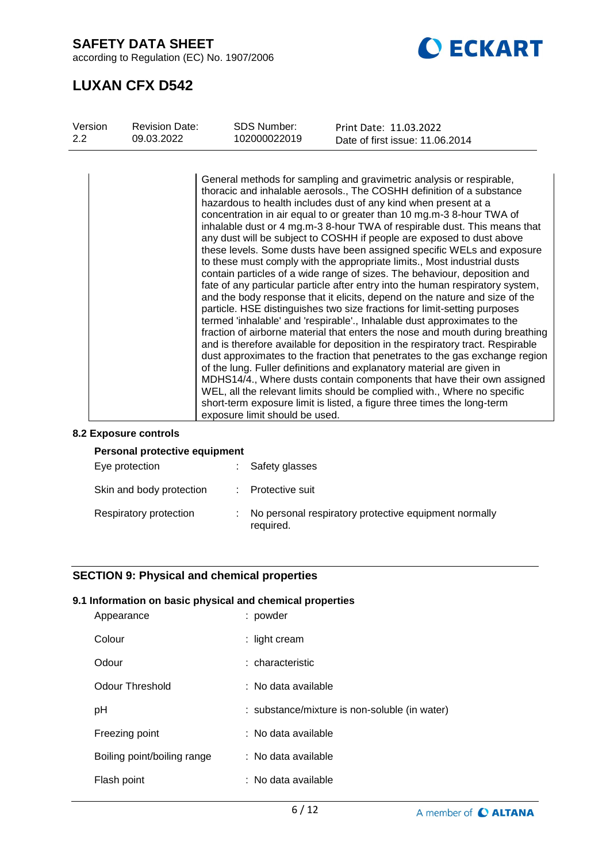according to Regulation (EC) No. 1907/2006



# **LUXAN CFX D542**

| Version<br><b>Revision Date:</b><br>09.03.2022<br>$2.2^{\circ}$ | <b>SDS Number:</b><br>102000022019 |                                                                 | Print Date: 11.03.2022<br>Date of first issue: 11.06.2014                                                                                                                                                                                                                                                                                                                                                                                                                                                                                                                                                                                                                                                                                                                                                                                                                                                                                                                                                                                                                                                                                                                                                                                                                                                                                                                                                                                                                                              |
|-----------------------------------------------------------------|------------------------------------|-----------------------------------------------------------------|--------------------------------------------------------------------------------------------------------------------------------------------------------------------------------------------------------------------------------------------------------------------------------------------------------------------------------------------------------------------------------------------------------------------------------------------------------------------------------------------------------------------------------------------------------------------------------------------------------------------------------------------------------------------------------------------------------------------------------------------------------------------------------------------------------------------------------------------------------------------------------------------------------------------------------------------------------------------------------------------------------------------------------------------------------------------------------------------------------------------------------------------------------------------------------------------------------------------------------------------------------------------------------------------------------------------------------------------------------------------------------------------------------------------------------------------------------------------------------------------------------|
|                                                                 | exposure limit should be used.     | hazardous to health includes dust of any kind when present at a | General methods for sampling and gravimetric analysis or respirable,<br>thoracic and inhalable aerosols., The COSHH definition of a substance<br>concentration in air equal to or greater than 10 mg.m-3 8-hour TWA of<br>inhalable dust or 4 mg.m-3 8-hour TWA of respirable dust. This means that<br>any dust will be subject to COSHH if people are exposed to dust above<br>these levels. Some dusts have been assigned specific WELs and exposure<br>to these must comply with the appropriate limits., Most industrial dusts<br>contain particles of a wide range of sizes. The behaviour, deposition and<br>fate of any particular particle after entry into the human respiratory system,<br>and the body response that it elicits, depend on the nature and size of the<br>particle. HSE distinguishes two size fractions for limit-setting purposes<br>termed 'inhalable' and 'respirable'., Inhalable dust approximates to the<br>fraction of airborne material that enters the nose and mouth during breathing<br>and is therefore available for deposition in the respiratory tract. Respirable<br>dust approximates to the fraction that penetrates to the gas exchange region<br>of the lung. Fuller definitions and explanatory material are given in<br>MDHS14/4., Where dusts contain components that have their own assigned<br>WEL, all the relevant limits should be complied with., Where no specific<br>short-term exposure limit is listed, a figure three times the long-term |

#### **8.2 Exposure controls**

| Personal protective equipment |  |                                                                    |  |  |
|-------------------------------|--|--------------------------------------------------------------------|--|--|
| Eye protection                |  | Safety glasses                                                     |  |  |
| Skin and body protection      |  | : Protective suit                                                  |  |  |
| Respiratory protection        |  | No personal respiratory protective equipment normally<br>required. |  |  |

# **SECTION 9: Physical and chemical properties**

### **9.1 Information on basic physical and chemical properties**

| Appearance                  | : powder                                      |
|-----------------------------|-----------------------------------------------|
| Colour                      | : light cream                                 |
| Odour                       | : characteristic                              |
| Odour Threshold             | : No data available                           |
| рH                          | : substance/mixture is non-soluble (in water) |
| Freezing point              | : No data available                           |
| Boiling point/boiling range | : No data available                           |
| Flash point                 | : No data available                           |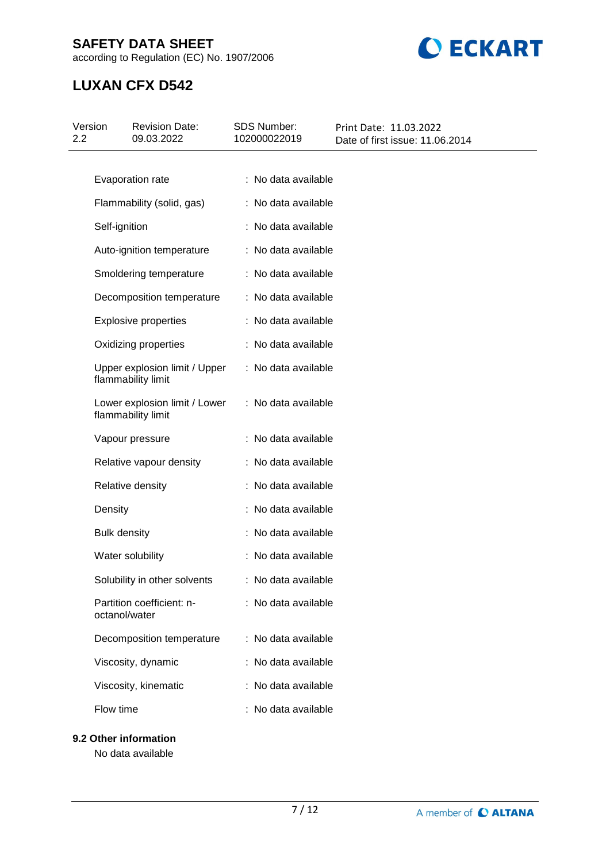according to Regulation (EC) No. 1907/2006



# **LUXAN CFX D542**

| Version<br>2.2 | <b>Revision Date:</b><br>09.03.2022                 | SDS Number:<br>102000022019 | Print Date: 11.03.2022<br>Date of first issue: 11.06.2014 |
|----------------|-----------------------------------------------------|-----------------------------|-----------------------------------------------------------|
|                |                                                     |                             |                                                           |
|                | Evaporation rate                                    | : No data available         |                                                           |
|                | Flammability (solid, gas)                           | : No data available         |                                                           |
|                | Self-ignition                                       | : No data available         |                                                           |
|                | Auto-ignition temperature                           | : No data available         |                                                           |
|                | Smoldering temperature                              | : No data available         |                                                           |
|                | Decomposition temperature                           | : No data available         |                                                           |
|                | <b>Explosive properties</b>                         | : No data available         |                                                           |
|                | Oxidizing properties                                | : No data available         |                                                           |
|                | Upper explosion limit / Upper<br>flammability limit | : No data available         |                                                           |
|                | Lower explosion limit / Lower<br>flammability limit | : No data available         |                                                           |
|                | Vapour pressure                                     | : No data available         |                                                           |
|                | Relative vapour density                             | : No data available         |                                                           |
|                | Relative density                                    | : No data available         |                                                           |
|                | Density                                             | : No data available         |                                                           |
|                | <b>Bulk density</b>                                 | : No data available         |                                                           |
|                | Water solubility                                    | : No data available         |                                                           |
|                | Solubility in other solvents                        | : No data available         |                                                           |
|                | Partition coefficient: n-<br>octanol/water          | : No data available         |                                                           |
|                | Decomposition temperature                           | : No data available         |                                                           |
|                | Viscosity, dynamic                                  | : No data available         |                                                           |
|                | Viscosity, kinematic                                | : No data available         |                                                           |
|                | Flow time                                           | : No data available         |                                                           |
|                | 9.2 Other information                               |                             |                                                           |

No data available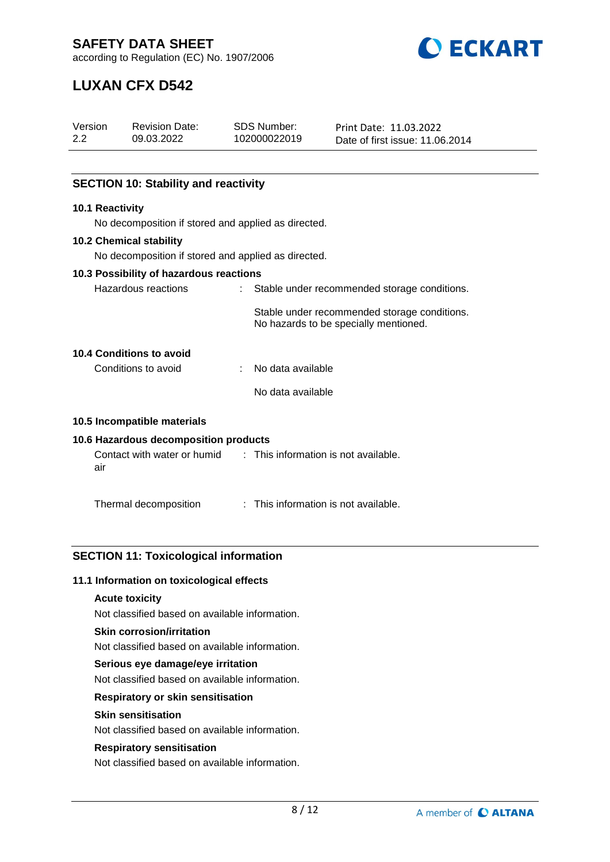

according to Regulation (EC) No. 1907/2006

# **LUXAN CFX D542**

| Version<br>2.2 |                 | <b>Revision Date:</b><br>09.03.2022                 |    | <b>SDS Number:</b><br>102000022019   | Print Date: 11.03.2022<br>Date of first issue: 11.06.2014                             |
|----------------|-----------------|-----------------------------------------------------|----|--------------------------------------|---------------------------------------------------------------------------------------|
|                |                 |                                                     |    |                                      |                                                                                       |
|                |                 | <b>SECTION 10: Stability and reactivity</b>         |    |                                      |                                                                                       |
|                | 10.1 Reactivity |                                                     |    |                                      |                                                                                       |
|                |                 | No decomposition if stored and applied as directed. |    |                                      |                                                                                       |
|                |                 | <b>10.2 Chemical stability</b>                      |    |                                      |                                                                                       |
|                |                 | No decomposition if stored and applied as directed. |    |                                      |                                                                                       |
|                |                 | 10.3 Possibility of hazardous reactions             |    |                                      |                                                                                       |
|                |                 | Hazardous reactions                                 | t. |                                      | Stable under recommended storage conditions.                                          |
|                |                 |                                                     |    |                                      | Stable under recommended storage conditions.<br>No hazards to be specially mentioned. |
|                |                 | 10.4 Conditions to avoid                            |    |                                      |                                                                                       |
|                |                 | Conditions to avoid                                 |    | No data available                    |                                                                                       |
|                |                 |                                                     |    | No data available                    |                                                                                       |
|                |                 | 10.5 Incompatible materials                         |    |                                      |                                                                                       |
|                |                 | 10.6 Hazardous decomposition products               |    |                                      |                                                                                       |
|                | air             | Contact with water or humid                         |    | : This information is not available. |                                                                                       |
|                |                 | Thermal decomposition                               |    | This information is not available.   |                                                                                       |

# **SECTION 11: Toxicological information**

#### **11.1 Information on toxicological effects**

### **Acute toxicity**

Not classified based on available information.

#### **Skin corrosion/irritation**

Not classified based on available information.

## **Serious eye damage/eye irritation**

Not classified based on available information.

### **Respiratory or skin sensitisation**

# **Skin sensitisation**

Not classified based on available information.

#### **Respiratory sensitisation**

Not classified based on available information.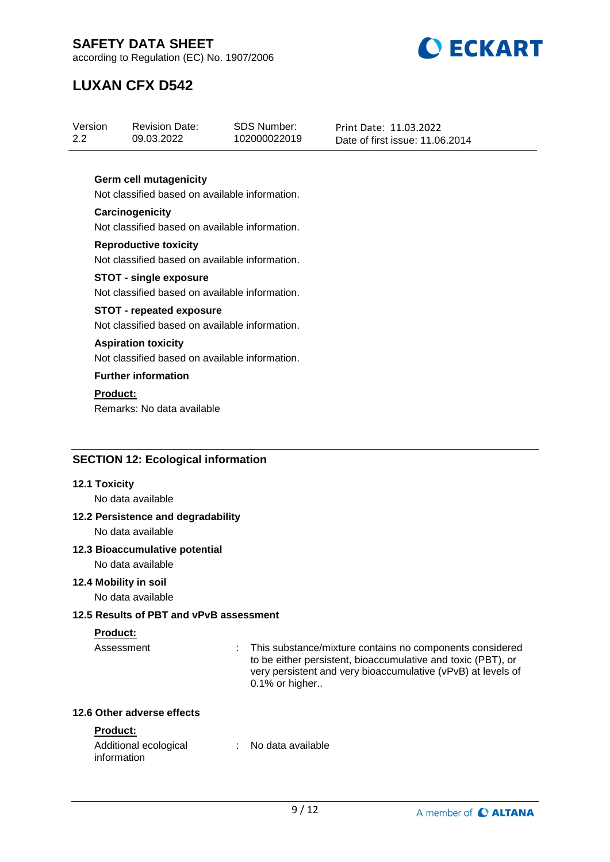

according to Regulation (EC) No. 1907/2006

# **LUXAN CFX D542**

| Version | <b>Revision Date:</b> | SDS Number:  | Print Date: 11.03.2022          |
|---------|-----------------------|--------------|---------------------------------|
| 2.2     | 09.03.2022            | 102000022019 | Date of first issue: 11.06.2014 |

### **Germ cell mutagenicity**

Not classified based on available information.

#### **Carcinogenicity** Not classified based on available information.

**Reproductive toxicity** Not classified based on available information.

#### **STOT - single exposure** Not classified based on available information.

## **STOT - repeated exposure**

Not classified based on available information.

### **Aspiration toxicity**

Not classified based on available information.

# **Further information**

**Product:**

Remarks: No data available

## **SECTION 12: Ecological information**

#### **12.1 Toxicity**

No data available

# **12.2 Persistence and degradability**

No data available

#### **12.3 Bioaccumulative potential**

No data available

#### **12.4 Mobility in soil**

No data available

## **12.5 Results of PBT and vPvB assessment**

# **Product:**

Assessment : This substance/mixture contains no components considered to be either persistent, bioaccumulative and toxic (PBT), or very persistent and very bioaccumulative (vPvB) at levels of 0.1% or higher..

### **12.6 Other adverse effects**

# **Product:**

| Additional ecological | No data available |  |
|-----------------------|-------------------|--|
| information           |                   |  |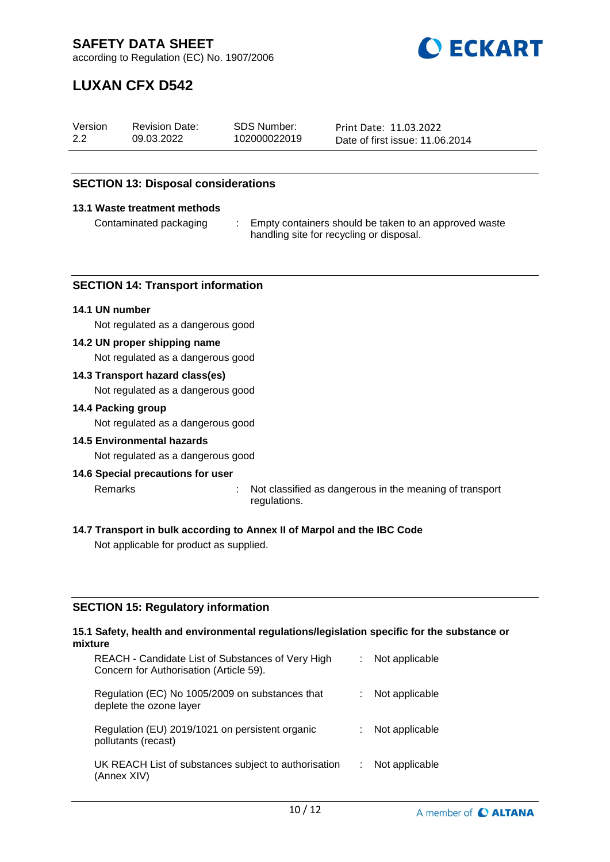

according to Regulation (EC) No. 1907/2006

# **LUXAN CFX D542**

| Version | <b>Revision Date:</b> | SDS Number:  | Print Date: 11.03.2022          |
|---------|-----------------------|--------------|---------------------------------|
| 2.2     | 09.03.2022            | 102000022019 | Date of first issue: 11.06.2014 |

### **SECTION 13: Disposal considerations**

#### **13.1 Waste treatment methods**

Contaminated packaging : Empty containers should be taken to an approved waste handling site for recycling or disposal.

#### **SECTION 14: Transport information**

#### **14.1 UN number**

Not regulated as a dangerous good

#### **14.2 UN proper shipping name**

Not regulated as a dangerous good

#### **14.3 Transport hazard class(es)**

Not regulated as a dangerous good

#### **14.4 Packing group**

Not regulated as a dangerous good

#### **14.5 Environmental hazards**

Not regulated as a dangerous good

#### **14.6 Special precautions for user**

Remarks : Not classified as dangerous in the meaning of transport regulations.

#### **14.7 Transport in bulk according to Annex II of Marpol and the IBC Code**

Not applicable for product as supplied.

#### **SECTION 15: Regulatory information**

#### **15.1 Safety, health and environmental regulations/legislation specific for the substance or mixture**

| REACH - Candidate List of Substances of Very High<br>Concern for Authorisation (Article 59). | Not applicable |
|----------------------------------------------------------------------------------------------|----------------|
| Regulation (EC) No 1005/2009 on substances that<br>deplete the ozone layer                   | Not applicable |
| Regulation (EU) 2019/1021 on persistent organic<br>pollutants (recast)                       | Not applicable |
| UK REACH List of substances subject to authorisation<br>(Annex XIV)                          | Not applicable |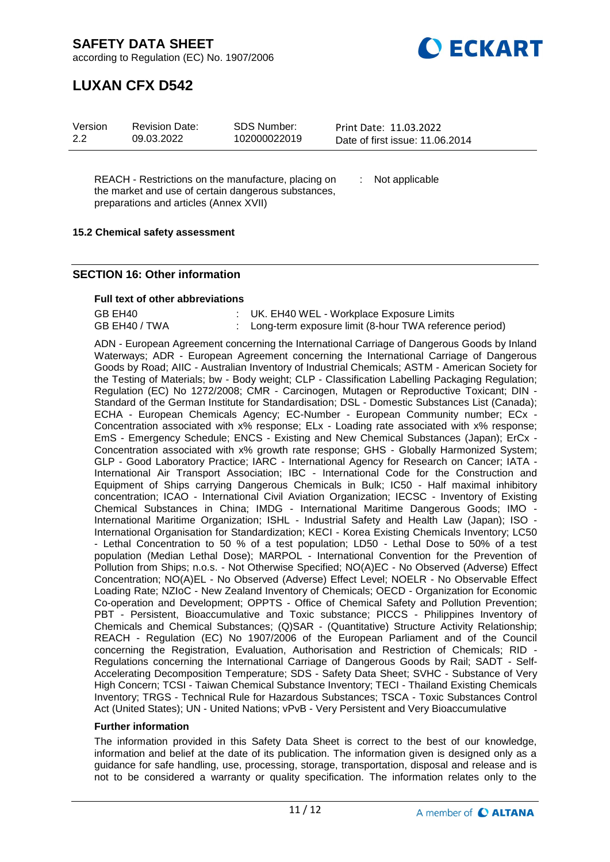**DECKART** 

according to Regulation (EC) No. 1907/2006

# **LUXAN CFX D542**

| Version | <b>Revision Date:</b> | SDS Number:  | Print Date: 11.03.2022          |
|---------|-----------------------|--------------|---------------------------------|
| 2.2     | 09.03.2022            | 102000022019 | Date of first issue: 11.06.2014 |

REACH - Restrictions on the manufacture, placing on the market and use of certain dangerous substances, preparations and articles (Annex XVII)

: Not applicable

### **15.2 Chemical safety assessment**

### **SECTION 16: Other information**

#### **Full text of other abbreviations**

| GB EH40       | : UK. EH40 WEL - Workplace Exposure Limits               |
|---------------|----------------------------------------------------------|
| GB EH40 / TWA | : Long-term exposure limit (8-hour TWA reference period) |

ADN - European Agreement concerning the International Carriage of Dangerous Goods by Inland Waterways; ADR - European Agreement concerning the International Carriage of Dangerous Goods by Road; AIIC - Australian Inventory of Industrial Chemicals; ASTM - American Society for the Testing of Materials; bw - Body weight; CLP - Classification Labelling Packaging Regulation; Regulation (EC) No 1272/2008; CMR - Carcinogen, Mutagen or Reproductive Toxicant; DIN - Standard of the German Institute for Standardisation; DSL - Domestic Substances List (Canada); ECHA - European Chemicals Agency; EC-Number - European Community number; ECx -Concentration associated with x% response; ELx - Loading rate associated with x% response; EmS - Emergency Schedule; ENCS - Existing and New Chemical Substances (Japan); ErCx - Concentration associated with x% growth rate response; GHS - Globally Harmonized System; GLP - Good Laboratory Practice; IARC - International Agency for Research on Cancer; IATA - International Air Transport Association; IBC - International Code for the Construction and Equipment of Ships carrying Dangerous Chemicals in Bulk; IC50 - Half maximal inhibitory concentration; ICAO - International Civil Aviation Organization; IECSC - Inventory of Existing Chemical Substances in China; IMDG - International Maritime Dangerous Goods; IMO - International Maritime Organization; ISHL - Industrial Safety and Health Law (Japan); ISO - International Organisation for Standardization; KECI - Korea Existing Chemicals Inventory; LC50 - Lethal Concentration to 50 % of a test population; LD50 - Lethal Dose to 50% of a test population (Median Lethal Dose); MARPOL - International Convention for the Prevention of Pollution from Ships; n.o.s. - Not Otherwise Specified; NO(A)EC - No Observed (Adverse) Effect Concentration; NO(A)EL - No Observed (Adverse) Effect Level; NOELR - No Observable Effect Loading Rate; NZIoC - New Zealand Inventory of Chemicals; OECD - Organization for Economic Co-operation and Development; OPPTS - Office of Chemical Safety and Pollution Prevention; PBT - Persistent, Bioaccumulative and Toxic substance; PICCS - Philippines Inventory of Chemicals and Chemical Substances; (Q)SAR - (Quantitative) Structure Activity Relationship; REACH - Regulation (EC) No 1907/2006 of the European Parliament and of the Council concerning the Registration, Evaluation, Authorisation and Restriction of Chemicals; RID - Regulations concerning the International Carriage of Dangerous Goods by Rail; SADT - Self-Accelerating Decomposition Temperature; SDS - Safety Data Sheet; SVHC - Substance of Very High Concern; TCSI - Taiwan Chemical Substance Inventory; TECI - Thailand Existing Chemicals Inventory; TRGS - Technical Rule for Hazardous Substances; TSCA - Toxic Substances Control Act (United States); UN - United Nations; vPvB - Very Persistent and Very Bioaccumulative

#### **Further information**

The information provided in this Safety Data Sheet is correct to the best of our knowledge, information and belief at the date of its publication. The information given is designed only as a guidance for safe handling, use, processing, storage, transportation, disposal and release and is not to be considered a warranty or quality specification. The information relates only to the